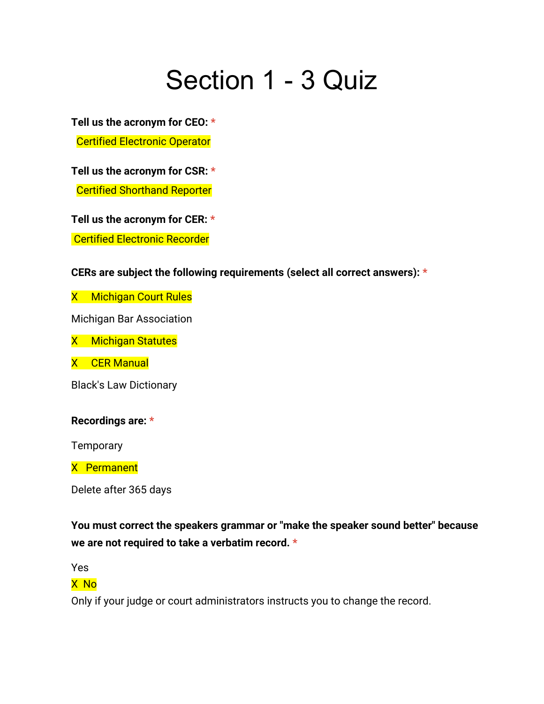# Section 1 - 3 Quiz

**Tell us the acronym for CEO: \***

**Certified Electronic Operator** 

**Tell us the acronym for CSR: \* Certified Shorthand Reporter** 

**Tell us the acronym for CER: \***

Certified Electronic Recorder

## **CERs are subject the following requirements (select all correct answers): \***

X Michigan Court Rules

Michigan Bar Association

X Michigan Statutes

X CER Manual

Black's Law Dictionary

## **Recordings are: \***

**Temporary** 

X Permanent

Delete after 365 days

**You must correct the speakers grammar or "make the speaker sound better" because we are not required to take a verbatim record. \***

Yes

## X No

Only if your judge or court administrators instructs you to change the record.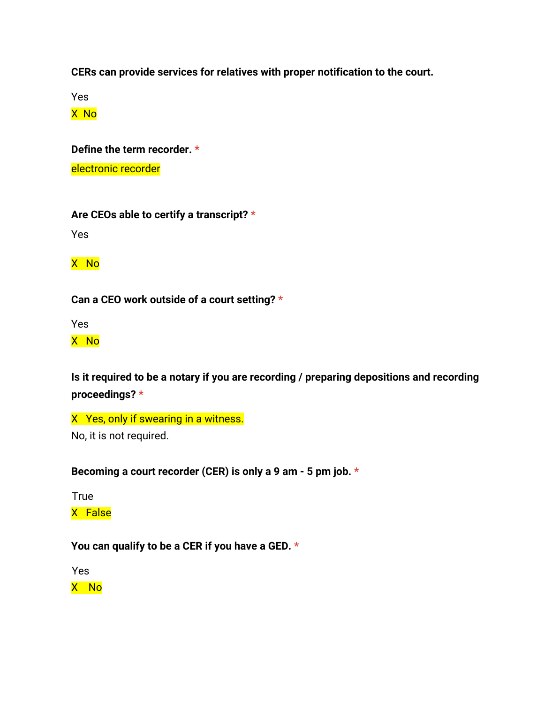**CERs can provide services for relatives with proper notification to the court.**

Yes

X No

**Define the term recorder. \***

electronic recorder

**Are CEOs able to certify a transcript? \***

Yes

X No

**Can a CEO work outside of a court setting? \***

Yes

X No

**Is it required to be a notary if you are recording / preparing depositions and recording proceedings? \***

X Yes, only if swearing in a witness. No, it is not required.

**Becoming a court recorder (CER) is only a 9 am - 5 pm job. \***

**True** 

X False

**You can qualify to be a CER if you have a GED. \***

Yes

X No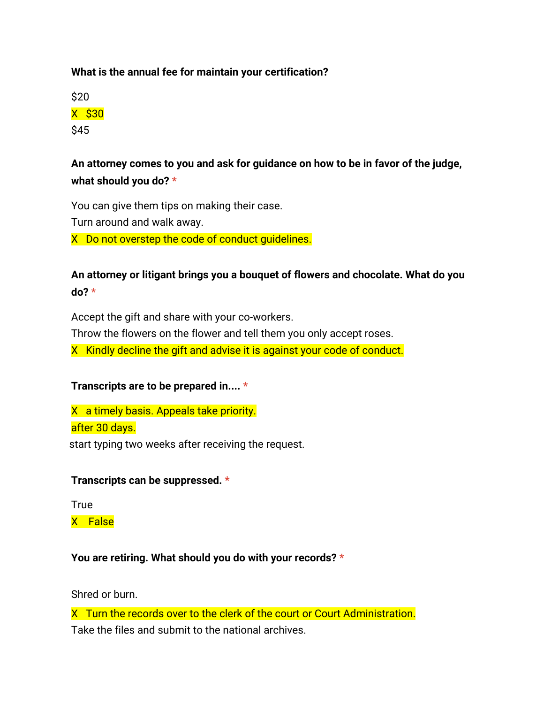## **What is the annual fee for maintain your certification?**

\$20 X \$30

\$45

# **An attorney comes to you and ask for guidance on how to be in favor of the judge, what should you do? \***

You can give them tips on making their case. Turn around and walk away. X Do not overstep the code of conduct guidelines.

**An attorney or litigant brings you a bouquet of flowers and chocolate. What do you do?** \*

Accept the gift and share with your co-workers. Throw the flowers on the flower and tell them you only accept roses. X Kindly decline the gift and advise it is against your code of conduct.

## **Transcripts are to be prepared in.... \***

X a timely basis. Appeals take priority. after 30 days. start typing two weeks after receiving the request.

#### **Transcripts can be suppressed. \***

**True** X False

#### **You are retiring. What should you do with your records? \***

Shred or burn.

X Turn the records over to the clerk of the court or Court Administration. Take the files and submit to the national archives.